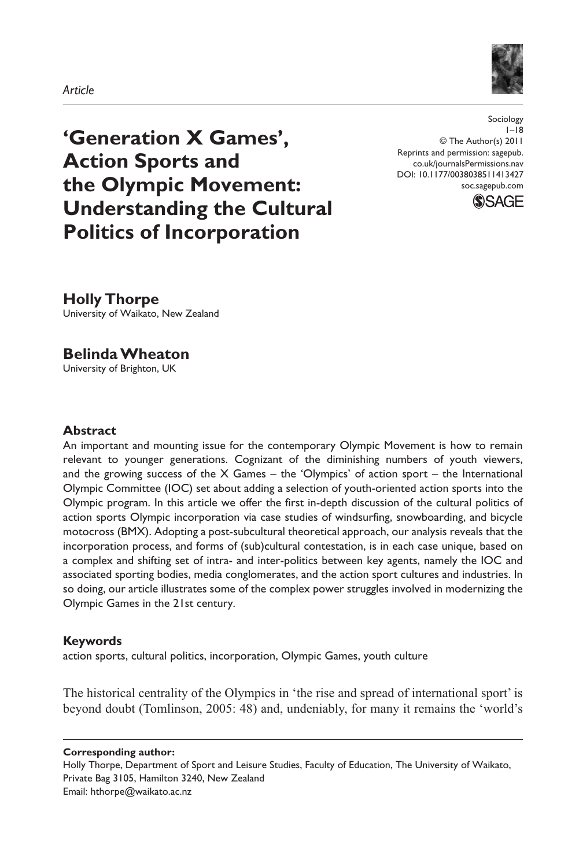### *Article*



**'Generation X Games', Action Sports and the Olympic Movement: Understanding the Cultural Politics of Incorporation**

Sociology  $1 - 18$ © The Author(s) 2011 Reprints and permission: sagepub. co.uk/journalsPermissions.nav DOI: 10.1177/0038038511413427 soc.sagepub.com



**Holly Thorpe** University of Waikato, New Zealand

**Belinda Wheaton**

University of Brighton, UK

## **Abstract**

An important and mounting issue for the contemporary Olympic Movement is how to remain relevant to younger generations. Cognizant of the diminishing numbers of youth viewers, and the growing success of the  $X$  Games – the 'Olympics' of action sport – the International Olympic Committee (IOC) set about adding a selection of youth-oriented action sports into the Olympic program. In this article we offer the first in-depth discussion of the cultural politics of action sports Olympic incorporation via case studies of windsurfing, snowboarding, and bicycle motocross (BMX). Adopting a post-subcultural theoretical approach, our analysis reveals that the incorporation process, and forms of (sub)cultural contestation, is in each case unique, based on a complex and shifting set of intra- and inter-politics between key agents, namely the IOC and associated sporting bodies, media conglomerates, and the action sport cultures and industries. In so doing, our article illustrates some of the complex power struggles involved in modernizing the Olympic Games in the 21st century.

### **Keywords**

action sports, cultural politics, incorporation, Olympic Games, youth culture

The historical centrality of the Olympics in 'the rise and spread of international sport' is beyond doubt (Tomlinson, 2005: 48) and, undeniably, for many it remains the 'world's

#### **Corresponding author:**

Holly Thorpe, Department of Sport and Leisure Studies, Faculty of Education, The University of Waikato, Private Bag 3105, Hamilton 3240, New Zealand Email: hthorpe@waikato.ac.nz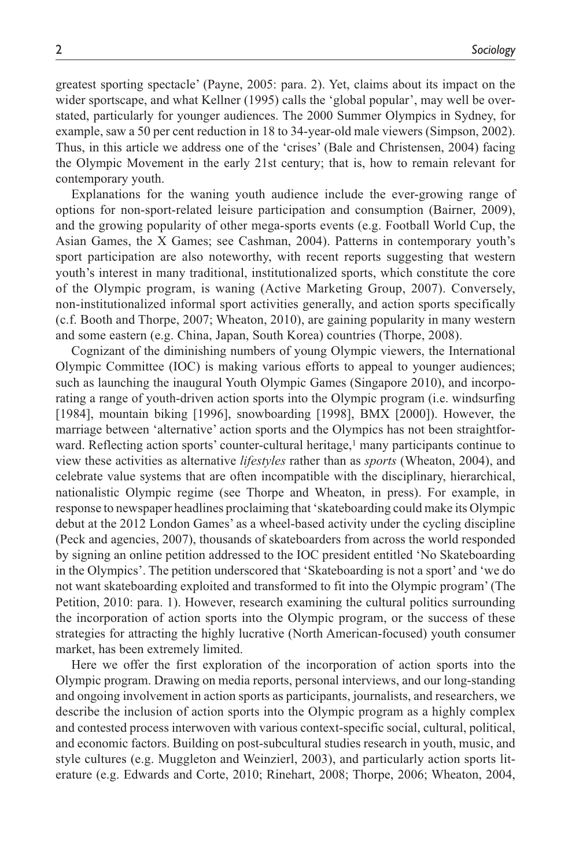greatest sporting spectacle' (Payne, 2005: para. 2). Yet, claims about its impact on the wider sportscape, and what Kellner (1995) calls the 'global popular', may well be overstated, particularly for younger audiences. The 2000 Summer Olympics in Sydney, for example, saw a 50 per cent reduction in 18 to 34-year-old male viewers (Simpson, 2002). Thus, in this article we address one of the 'crises' (Bale and Christensen, 2004) facing the Olympic Movement in the early 21st century; that is, how to remain relevant for contemporary youth.

Explanations for the waning youth audience include the ever-growing range of options for non-sport-related leisure participation and consumption (Bairner, 2009), and the growing popularity of other mega-sports events (e.g. Football World Cup, the Asian Games, the X Games; see Cashman, 2004). Patterns in contemporary youth's sport participation are also noteworthy, with recent reports suggesting that western youth's interest in many traditional, institutionalized sports, which constitute the core of the Olympic program, is waning (Active Marketing Group, 2007). Conversely, non-institutionalized informal sport activities generally, and action sports specifically (c.f. Booth and Thorpe, 2007; Wheaton, 2010), are gaining popularity in many western and some eastern (e.g. China, Japan, South Korea) countries (Thorpe, 2008).

Cognizant of the diminishing numbers of young Olympic viewers, the International Olympic Committee (IOC) is making various efforts to appeal to younger audiences; such as launching the inaugural Youth Olympic Games (Singapore 2010), and incorporating a range of youth-driven action sports into the Olympic program (i.e. windsurfing [1984], mountain biking [1996], snowboarding [1998], BMX [2000]). However, the marriage between 'alternative' action sports and the Olympics has not been straightforward. Reflecting action sports' counter-cultural heritage,<sup>1</sup> many participants continue to view these activities as alternative *lifestyles* rather than as *sports* (Wheaton, 2004), and celebrate value systems that are often incompatible with the disciplinary, hierarchical, nationalistic Olympic regime (see Thorpe and Wheaton, in press). For example, in response to newspaper headlines proclaiming that 'skateboarding could make its Olympic debut at the 2012 London Games' as a wheel-based activity under the cycling discipline (Peck and agencies, 2007), thousands of skateboarders from across the world responded by signing an online petition addressed to the IOC president entitled 'No Skateboarding in the Olympics'. The petition underscored that 'Skateboarding is not a sport' and 'we do not want skateboarding exploited and transformed to fit into the Olympic program' (The Petition, 2010: para. 1). However, research examining the cultural politics surrounding the incorporation of action sports into the Olympic program, or the success of these strategies for attracting the highly lucrative (North American-focused) youth consumer market, has been extremely limited.

Here we offer the first exploration of the incorporation of action sports into the Olympic program. Drawing on media reports, personal interviews, and our long-standing and ongoing involvement in action sports as participants, journalists, and researchers, we describe the inclusion of action sports into the Olympic program as a highly complex and contested process interwoven with various context-specific social, cultural, political, and economic factors. Building on post-subcultural studies research in youth, music, and style cultures (e.g. Muggleton and Weinzierl, 2003), and particularly action sports literature (e.g. Edwards and Corte, 2010; Rinehart, 2008; Thorpe, 2006; Wheaton, 2004,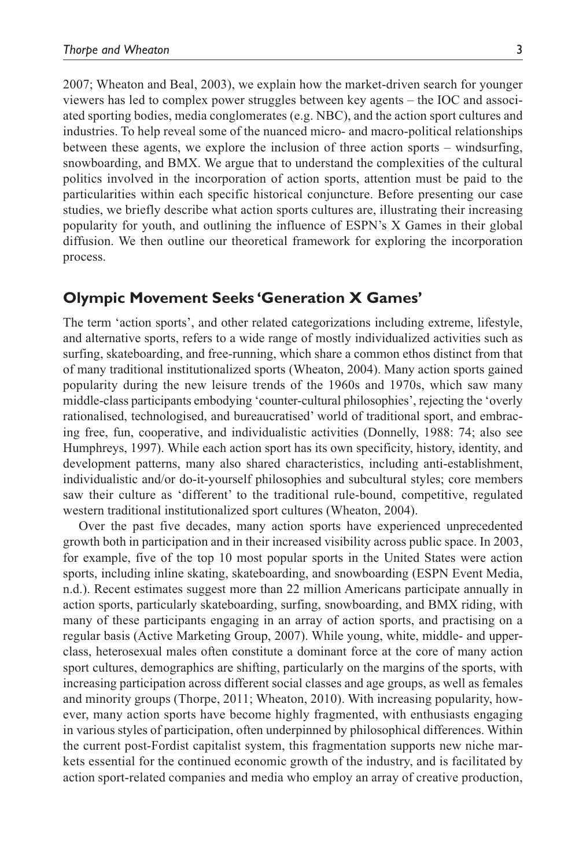2007; Wheaton and Beal, 2003), we explain how the market-driven search for younger viewers has led to complex power struggles between key agents – the IOC and associated sporting bodies, media conglomerates (e.g. NBC), and the action sport cultures and industries. To help reveal some of the nuanced micro- and macro-political relationships between these agents, we explore the inclusion of three action sports – windsurfing, snowboarding, and BMX. We argue that to understand the complexities of the cultural politics involved in the incorporation of action sports, attention must be paid to the particularities within each specific historical conjuncture. Before presenting our case studies, we briefly describe what action sports cultures are, illustrating their increasing popularity for youth, and outlining the influence of ESPN's X Games in their global diffusion. We then outline our theoretical framework for exploring the incorporation process.

# **Olympic Movement Seeks 'Generation X Games'**

The term 'action sports', and other related categorizations including extreme, lifestyle, and alternative sports, refers to a wide range of mostly individualized activities such as surfing, skateboarding, and free-running, which share a common ethos distinct from that of many traditional institutionalized sports (Wheaton, 2004). Many action sports gained popularity during the new leisure trends of the 1960s and 1970s, which saw many middle-class participants embodying 'counter-cultural philosophies', rejecting the 'overly rationalised, technologised, and bureaucratised' world of traditional sport, and embracing free, fun, cooperative, and individualistic activities (Donnelly, 1988: 74; also see Humphreys, 1997). While each action sport has its own specificity, history, identity, and development patterns, many also shared characteristics, including anti-establishment, individualistic and/or do-it-yourself philosophies and subcultural styles; core members saw their culture as 'different' to the traditional rule-bound, competitive, regulated western traditional institutionalized sport cultures (Wheaton, 2004).

Over the past five decades, many action sports have experienced unprecedented growth both in participation and in their increased visibility across public space. In 2003, for example, five of the top 10 most popular sports in the United States were action sports, including inline skating, skateboarding, and snowboarding (ESPN Event Media, n.d.). Recent estimates suggest more than 22 million Americans participate annually in action sports, particularly skateboarding, surfing, snowboarding, and BMX riding, with many of these participants engaging in an array of action sports, and practising on a regular basis (Active Marketing Group, 2007). While young, white, middle- and upperclass, heterosexual males often constitute a dominant force at the core of many action sport cultures, demographics are shifting, particularly on the margins of the sports, with increasing participation across different social classes and age groups, as well as females and minority groups (Thorpe, 2011; Wheaton, 2010). With increasing popularity, however, many action sports have become highly fragmented, with enthusiasts engaging in various styles of participation, often underpinned by philosophical differences. Within the current post-Fordist capitalist system, this fragmentation supports new niche markets essential for the continued economic growth of the industry, and is facilitated by action sport-related companies and media who employ an array of creative production,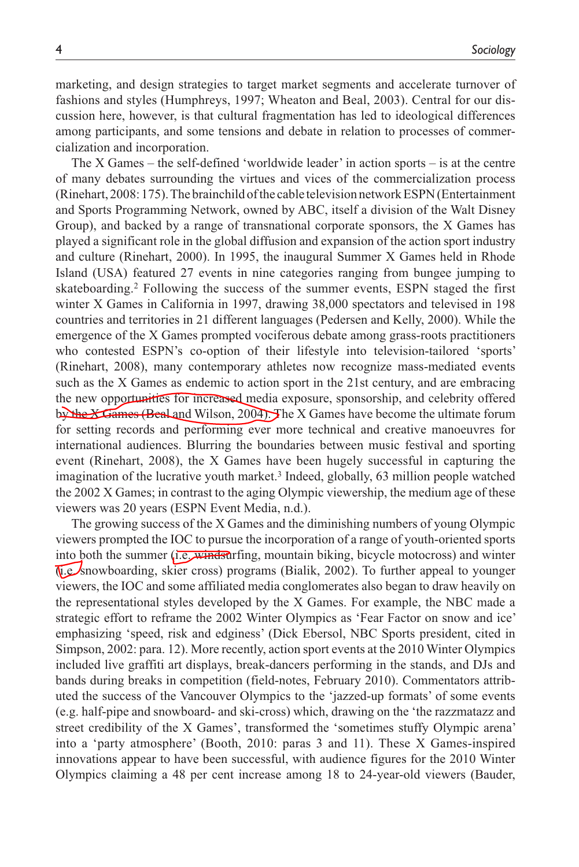marketing, and design strategies to target market segments and accelerate turnover of fashions and styles (Humphreys, 1997; Wheaton and Beal, 2003). Central for our discussion here, however, is that cultural fragmentation has led to ideological differences among participants, and some tensions and debate in relation to processes of commercialization and incorporation.

The X Games – the self-defined 'worldwide leader' in action sports – is at the centre of many debates surrounding the virtues and vices of the commercialization process (Rinehart, 2008: 175). The brainchild of the cable television network ESPN (Entertainment and Sports Programming Network, owned by ABC, itself a division of the Walt Disney Group), and backed by a range of transnational corporate sponsors, the X Games has played a significant role in the global diffusion and expansion of the action sport industry and culture (Rinehart, 2000). In 1995, the inaugural Summer X Games held in Rhode Island (USA) featured 27 events in nine categories ranging from bungee jumping to skateboarding.2 Following the success of the summer events, ESPN staged the first winter X Games in California in 1997, drawing 38,000 spectators and televised in 198 countries and territories in 21 different languages (Pedersen and Kelly, 2000). While the emergence of the X Games prompted vociferous debate among grass-roots practitioners who contested ESPN's co-option of their lifestyle into television-tailored 'sports' (Rinehart, 2008), many contemporary athletes now recognize mass-mediated events such as the X Games as endemic to action sport in the 21st century, and are embracing the new opportunities for increased media exposure, sponsorship, and celebrity offered by the X Games (Beal and Wilson, 2004). The X Games have become the ultimate forum for setting records and performing ever more technical and creative manoeuvres for international audiences. Blurring the boundaries between music festival and sporting event (Rinehart, 2008), the X Games have been hugely successful in capturing the imagination of the lucrative youth market.<sup>3</sup> Indeed, globally, 63 million people watched the 2002 X Games; in contrast to the aging Olympic viewership, the medium age of these viewers was 20 years (ESPN Event Media, n.d.).

The growing success of the X Games and the diminishing numbers of young Olympic viewers prompted the IOC to pursue the incorporation of a range of youth-oriented sports into both the summer  $(i.e.,$  windsurfing, mountain biking, bicycle motocross) and winter (i.e. snowboarding, skier cross) programs (Bialik, 2002). To further appeal to younger viewers, the IOC and some affiliated media conglomerates also began to draw heavily on the representational styles developed by the X Games. For example, the NBC made a strategic effort to reframe the 2002 Winter Olympics as 'Fear Factor on snow and ice' emphasizing 'speed, risk and edginess' (Dick Ebersol, NBC Sports president, cited in Simpson, 2002: para. 12). More recently, action sport events at the 2010 Winter Olympics included live graffiti art displays, break-dancers performing in the stands, and DJs and bands during breaks in competition (field-notes, February 2010). Commentators attributed the success of the Vancouver Olympics to the 'jazzed-up formats' of some events (e.g. half-pipe and snowboard- and ski-cross) which, drawing on the 'the razzmatazz and street credibility of the X Games', transformed the 'sometimes stuffy Olympic arena' into a 'party atmosphere' (Booth, 2010: paras 3 and 11). These X Games-inspired innovations appear to have been successful, with audience figures for the 2010 Winter Olympics claiming a 48 per cent increase among 18 to 24-year-old viewers (Bauder,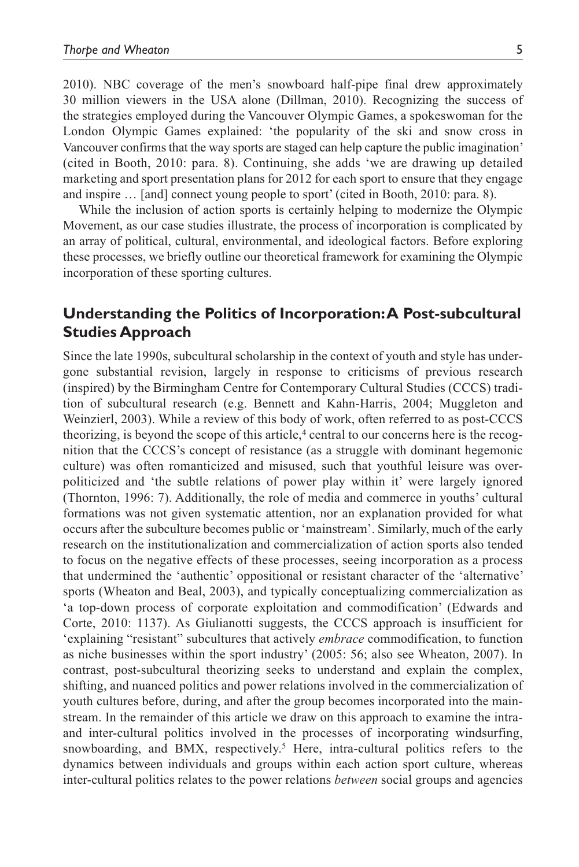2010). NBC coverage of the men's snowboard half-pipe final drew approximately 30 million viewers in the USA alone (Dillman, 2010). Recognizing the success of the strategies employed during the Vancouver Olympic Games, a spokeswoman for the London Olympic Games explained: 'the popularity of the ski and snow cross in Vancouver confirms that the way sports are staged can help capture the public imagination' (cited in Booth, 2010: para. 8). Continuing, she adds 'we are drawing up detailed marketing and sport presentation plans for 2012 for each sport to ensure that they engage and inspire … [and] connect young people to sport' (cited in Booth, 2010: para. 8).

While the inclusion of action sports is certainly helping to modernize the Olympic Movement, as our case studies illustrate, the process of incorporation is complicated by an array of political, cultural, environmental, and ideological factors. Before exploring these processes, we briefly outline our theoretical framework for examining the Olympic incorporation of these sporting cultures.

# **Understanding the Politics of Incorporation: A Post-subcultural Studies Approach**

Since the late 1990s, subcultural scholarship in the context of youth and style has undergone substantial revision, largely in response to criticisms of previous research (inspired) by the Birmingham Centre for Contemporary Cultural Studies (CCCS) tradition of subcultural research (e.g. Bennett and Kahn-Harris, 2004; Muggleton and Weinzierl, 2003). While a review of this body of work, often referred to as post-CCCS theorizing, is beyond the scope of this article, $\alpha$  central to our concerns here is the recognition that the CCCS's concept of resistance (as a struggle with dominant hegemonic culture) was often romanticized and misused, such that youthful leisure was overpoliticized and 'the subtle relations of power play within it' were largely ignored (Thornton, 1996: 7). Additionally, the role of media and commerce in youths' cultural formations was not given systematic attention, nor an explanation provided for what occurs after the subculture becomes public or 'mainstream'. Similarly, much of the early research on the institutionalization and commercialization of action sports also tended to focus on the negative effects of these processes, seeing incorporation as a process that undermined the 'authentic' oppositional or resistant character of the 'alternative' sports (Wheaton and Beal, 2003), and typically conceptualizing commercialization as 'a top-down process of corporate exploitation and commodification' (Edwards and Corte, 2010: 1137). As Giulianotti suggests, the CCCS approach is insufficient for 'explaining "resistant" subcultures that actively *embrace* commodification, to function as niche businesses within the sport industry' (2005: 56; also see Wheaton, 2007). In contrast, post-subcultural theorizing seeks to understand and explain the complex, shifting, and nuanced politics and power relations involved in the commercialization of youth cultures before, during, and after the group becomes incorporated into the mainstream. In the remainder of this article we draw on this approach to examine the intraand inter-cultural politics involved in the processes of incorporating windsurfing, snowboarding, and BMX, respectively.<sup>5</sup> Here, intra-cultural politics refers to the dynamics between individuals and groups within each action sport culture, whereas inter-cultural politics relates to the power relations *between* social groups and agencies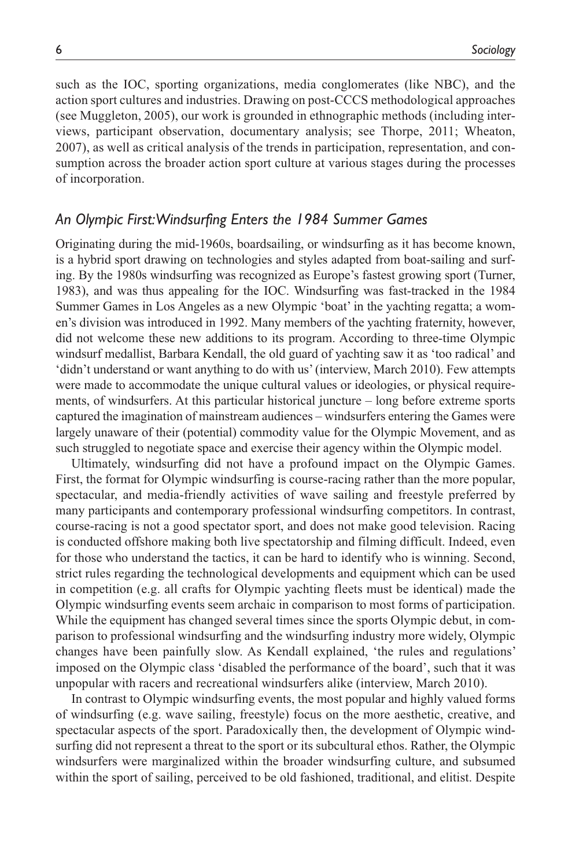such as the IOC, sporting organizations, media conglomerates (like NBC), and the action sport cultures and industries. Drawing on post-CCCS methodological approaches (see Muggleton, 2005), our work is grounded in ethnographic methods (including interviews, participant observation, documentary analysis; see Thorpe, 2011; Wheaton, 2007), as well as critical analysis of the trends in participation, representation, and consumption across the broader action sport culture at various stages during the processes of incorporation.

### *An Olympic First: Windsurfing Enters the 1984 Summer Games*

Originating during the mid-1960s, boardsailing, or windsurfing as it has become known, is a hybrid sport drawing on technologies and styles adapted from boat-sailing and surfing. By the 1980s windsurfing was recognized as Europe's fastest growing sport (Turner, 1983), and was thus appealing for the IOC. Windsurfing was fast-tracked in the 1984 Summer Games in Los Angeles as a new Olympic 'boat' in the yachting regatta; a women's division was introduced in 1992. Many members of the yachting fraternity, however, did not welcome these new additions to its program. According to three-time Olympic windsurf medallist, Barbara Kendall, the old guard of yachting saw it as 'too radical' and 'didn't understand or want anything to do with us' (interview, March 2010). Few attempts were made to accommodate the unique cultural values or ideologies, or physical requirements, of windsurfers. At this particular historical juncture – long before extreme sports captured the imagination of mainstream audiences – windsurfers entering the Games were largely unaware of their (potential) commodity value for the Olympic Movement, and as such struggled to negotiate space and exercise their agency within the Olympic model.

Ultimately, windsurfing did not have a profound impact on the Olympic Games. First, the format for Olympic windsurfing is course-racing rather than the more popular, spectacular, and media-friendly activities of wave sailing and freestyle preferred by many participants and contemporary professional windsurfing competitors. In contrast, course-racing is not a good spectator sport, and does not make good television. Racing is conducted offshore making both live spectatorship and filming difficult. Indeed, even for those who understand the tactics, it can be hard to identify who is winning. Second, strict rules regarding the technological developments and equipment which can be used in competition (e.g. all crafts for Olympic yachting fleets must be identical) made the Olympic windsurfing events seem archaic in comparison to most forms of participation. While the equipment has changed several times since the sports Olympic debut, in comparison to professional windsurfing and the windsurfing industry more widely, Olympic changes have been painfully slow. As Kendall explained, 'the rules and regulations' imposed on the Olympic class 'disabled the performance of the board', such that it was unpopular with racers and recreational windsurfers alike (interview, March 2010).

In contrast to Olympic windsurfing events, the most popular and highly valued forms of windsurfing (e.g. wave sailing, freestyle) focus on the more aesthetic, creative, and spectacular aspects of the sport. Paradoxically then, the development of Olympic windsurfing did not represent a threat to the sport or its subcultural ethos. Rather, the Olympic windsurfers were marginalized within the broader windsurfing culture, and subsumed within the sport of sailing, perceived to be old fashioned, traditional, and elitist. Despite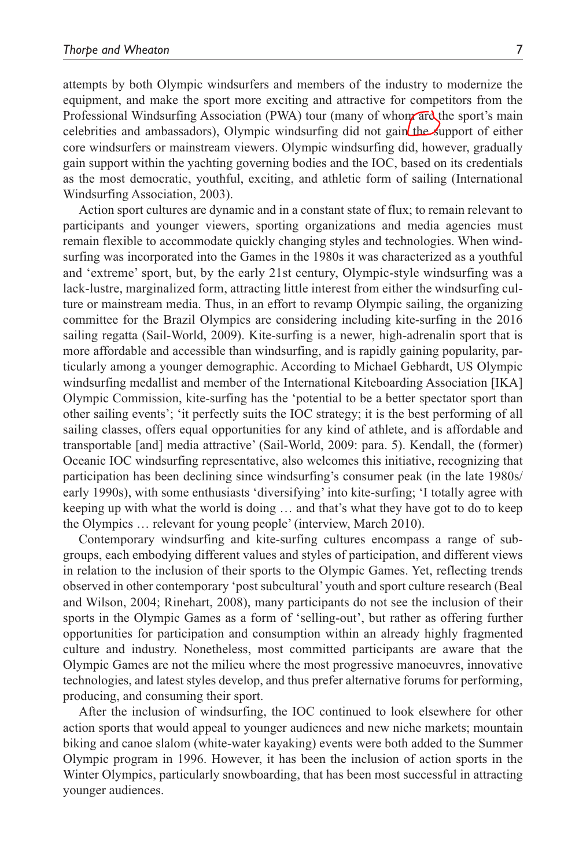attempts by both Olympic windsurfers and members of the industry to modernize the equipment, and make the sport more exciting and attractive for competitors from the Professional Windsurfing Association (PWA) tour (many of whom are the sport's main celebrities and ambassadors), Olympic windsurfing did not gain the support of either core windsurfers or mainstream viewers. Olympic windsurfing did, however, gradually gain support within the yachting governing bodies and the IOC, based on its credentials as the most democratic, youthful, exciting, and athletic form of sailing (International Windsurfing Association, 2003).

Action sport cultures are dynamic and in a constant state of flux; to remain relevant to participants and younger viewers, sporting organizations and media agencies must remain flexible to accommodate quickly changing styles and technologies. When windsurfing was incorporated into the Games in the 1980s it was characterized as a youthful and 'extreme' sport, but, by the early 21st century, Olympic-style windsurfing was a lack-lustre, marginalized form, attracting little interest from either the windsurfing culture or mainstream media. Thus, in an effort to revamp Olympic sailing, the organizing committee for the Brazil Olympics are considering including kite-surfing in the 2016 sailing regatta (Sail-World, 2009). Kite-surfing is a newer, high-adrenalin sport that is more affordable and accessible than windsurfing, and is rapidly gaining popularity, particularly among a younger demographic. According to Michael Gebhardt, US Olympic windsurfing medallist and member of the International Kiteboarding Association [IKA] Olympic Commission, kite-surfing has the 'potential to be a better spectator sport than other sailing events'; 'it perfectly suits the IOC strategy; it is the best performing of all sailing classes, offers equal opportunities for any kind of athlete, and is affordable and transportable [and] media attractive' (Sail-World, 2009: para. 5). Kendall, the (former) Oceanic IOC windsurfing representative, also welcomes this initiative, recognizing that participation has been declining since windsurfing's consumer peak (in the late 1980s/ early 1990s), with some enthusiasts 'diversifying' into kite-surfing; 'I totally agree with keeping up with what the world is doing … and that's what they have got to do to keep the Olympics … relevant for young people' (interview, March 2010).

Contemporary windsurfing and kite-surfing cultures encompass a range of subgroups, each embodying different values and styles of participation, and different views in relation to the inclusion of their sports to the Olympic Games. Yet, reflecting trends observed in other contemporary 'post subcultural' youth and sport culture research (Beal and Wilson, 2004; Rinehart, 2008), many participants do not see the inclusion of their sports in the Olympic Games as a form of 'selling-out', but rather as offering further opportunities for participation and consumption within an already highly fragmented culture and industry. Nonetheless, most committed participants are aware that the Olympic Games are not the milieu where the most progressive manoeuvres, innovative technologies, and latest styles develop, and thus prefer alternative forums for performing, producing, and consuming their sport.

After the inclusion of windsurfing, the IOC continued to look elsewhere for other action sports that would appeal to younger audiences and new niche markets; mountain biking and canoe slalom (white-water kayaking) events were both added to the Summer Olympic program in 1996. However, it has been the inclusion of action sports in the Winter Olympics, particularly snowboarding, that has been most successful in attracting younger audiences.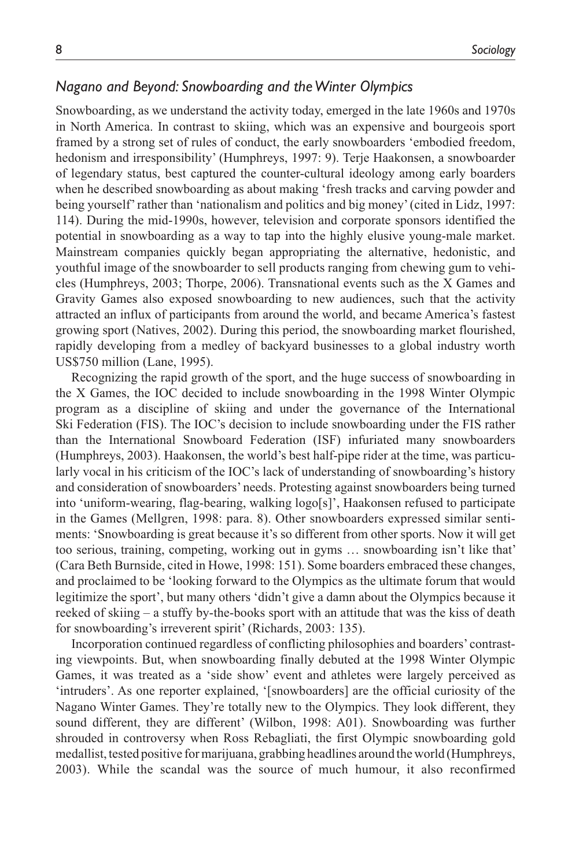# *Nagano and Beyond: Snowboarding and the Winter Olympics*

Snowboarding, as we understand the activity today, emerged in the late 1960s and 1970s in North America. In contrast to skiing, which was an expensive and bourgeois sport framed by a strong set of rules of conduct, the early snowboarders 'embodied freedom, hedonism and irresponsibility' (Humphreys, 1997: 9). Terje Haakonsen, a snowboarder of legendary status, best captured the counter-cultural ideology among early boarders when he described snowboarding as about making 'fresh tracks and carving powder and being yourself' rather than 'nationalism and politics and big money' (cited in Lidz, 1997: 114). During the mid-1990s, however, television and corporate sponsors identified the potential in snowboarding as a way to tap into the highly elusive young-male market. Mainstream companies quickly began appropriating the alternative, hedonistic, and youthful image of the snowboarder to sell products ranging from chewing gum to vehicles (Humphreys, 2003; Thorpe, 2006). Transnational events such as the X Games and Gravity Games also exposed snowboarding to new audiences, such that the activity attracted an influx of participants from around the world, and became America's fastest growing sport (Natives, 2002). During this period, the snowboarding market flourished, rapidly developing from a medley of backyard businesses to a global industry worth US\$750 million (Lane, 1995).

Recognizing the rapid growth of the sport, and the huge success of snowboarding in the X Games, the IOC decided to include snowboarding in the 1998 Winter Olympic program as a discipline of skiing and under the governance of the International Ski Federation (FIS). The IOC's decision to include snowboarding under the FIS rather than the International Snowboard Federation (ISF) infuriated many snowboarders (Humphreys, 2003). Haakonsen, the world's best half-pipe rider at the time, was particularly vocal in his criticism of the IOC's lack of understanding of snowboarding's history and consideration of snowboarders' needs. Protesting against snowboarders being turned into 'uniform-wearing, flag-bearing, walking logo[s]', Haakonsen refused to participate in the Games (Mellgren, 1998: para. 8). Other snowboarders expressed similar sentiments: 'Snowboarding is great because it's so different from other sports. Now it will get too serious, training, competing, working out in gyms … snowboarding isn't like that' (Cara Beth Burnside, cited in Howe, 1998: 151). Some boarders embraced these changes, and proclaimed to be 'looking forward to the Olympics as the ultimate forum that would legitimize the sport', but many others 'didn't give a damn about the Olympics because it reeked of skiing – a stuffy by-the-books sport with an attitude that was the kiss of death for snowboarding's irreverent spirit' (Richards, 2003: 135).

Incorporation continued regardless of conflicting philosophies and boarders' contrasting viewpoints. But, when snowboarding finally debuted at the 1998 Winter Olympic Games, it was treated as a 'side show' event and athletes were largely perceived as 'intruders'. As one reporter explained, '[snowboarders] are the official curiosity of the Nagano Winter Games. They're totally new to the Olympics. They look different, they sound different, they are different' (Wilbon, 1998: A01). Snowboarding was further shrouded in controversy when Ross Rebagliati, the first Olympic snowboarding gold medallist, tested positive for marijuana, grabbing headlines around the world (Humphreys, 2003). While the scandal was the source of much humour, it also reconfirmed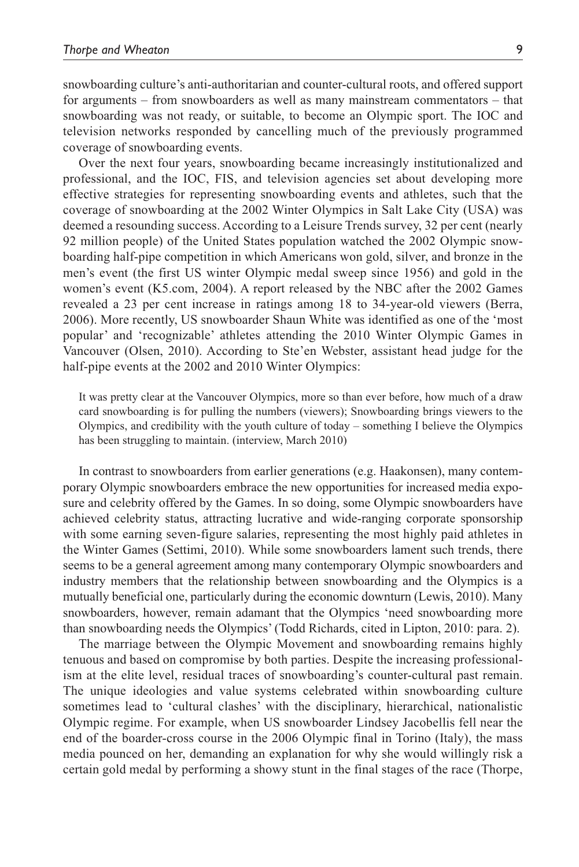snowboarding culture's anti-authoritarian and counter-cultural roots, and offered support for arguments – from snowboarders as well as many mainstream commentators – that snowboarding was not ready, or suitable, to become an Olympic sport. The IOC and television networks responded by cancelling much of the previously programmed coverage of snowboarding events.

Over the next four years, snowboarding became increasingly institutionalized and professional, and the IOC, FIS, and television agencies set about developing more effective strategies for representing snowboarding events and athletes, such that the coverage of snowboarding at the 2002 Winter Olympics in Salt Lake City (USA) was deemed a resounding success. According to a Leisure Trends survey, 32 per cent (nearly 92 million people) of the United States population watched the 2002 Olympic snowboarding half-pipe competition in which Americans won gold, silver, and bronze in the men's event (the first US winter Olympic medal sweep since 1956) and gold in the women's event (K5.com, 2004). A report released by the NBC after the 2002 Games revealed a 23 per cent increase in ratings among 18 to 34-year-old viewers (Berra, 2006). More recently, US snowboarder Shaun White was identified as one of the 'most popular' and 'recognizable' athletes attending the 2010 Winter Olympic Games in Vancouver (Olsen, 2010). According to Ste'en Webster, assistant head judge for the half-pipe events at the 2002 and 2010 Winter Olympics:

It was pretty clear at the Vancouver Olympics, more so than ever before, how much of a draw card snowboarding is for pulling the numbers (viewers); Snowboarding brings viewers to the Olympics, and credibility with the youth culture of today – something I believe the Olympics has been struggling to maintain. (interview, March 2010)

In contrast to snowboarders from earlier generations (e.g. Haakonsen), many contemporary Olympic snowboarders embrace the new opportunities for increased media exposure and celebrity offered by the Games. In so doing, some Olympic snowboarders have achieved celebrity status, attracting lucrative and wide-ranging corporate sponsorship with some earning seven-figure salaries, representing the most highly paid athletes in the Winter Games (Settimi, 2010). While some snowboarders lament such trends, there seems to be a general agreement among many contemporary Olympic snowboarders and industry members that the relationship between snowboarding and the Olympics is a mutually beneficial one, particularly during the economic downturn (Lewis, 2010). Many snowboarders, however, remain adamant that the Olympics 'need snowboarding more than snowboarding needs the Olympics' (Todd Richards, cited in Lipton, 2010: para. 2).

The marriage between the Olympic Movement and snowboarding remains highly tenuous and based on compromise by both parties. Despite the increasing professionalism at the elite level, residual traces of snowboarding's counter-cultural past remain. The unique ideologies and value systems celebrated within snowboarding culture sometimes lead to 'cultural clashes' with the disciplinary, hierarchical, nationalistic Olympic regime. For example, when US snowboarder Lindsey Jacobellis fell near the end of the boarder-cross course in the 2006 Olympic final in Torino (Italy), the mass media pounced on her, demanding an explanation for why she would willingly risk a certain gold medal by performing a showy stunt in the final stages of the race (Thorpe,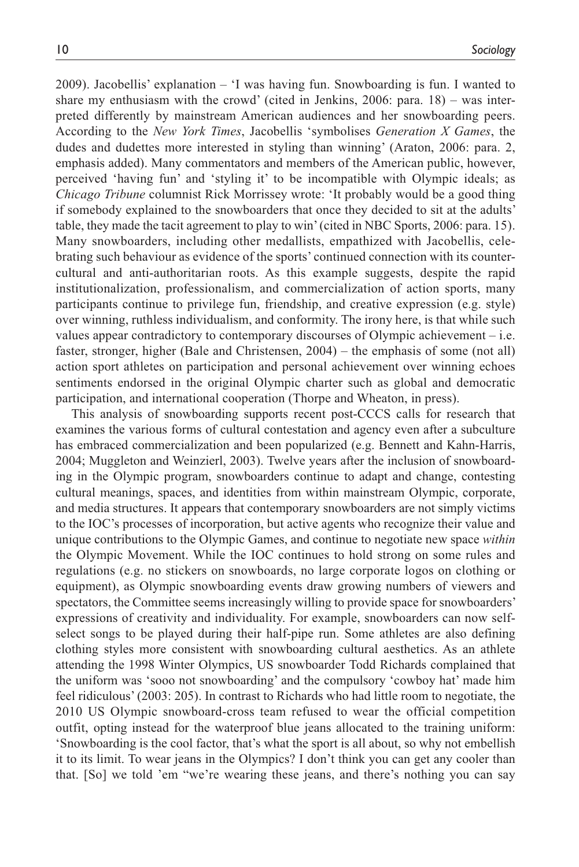2009). Jacobellis' explanation – 'I was having fun. Snowboarding is fun. I wanted to share my enthusiasm with the crowd' (cited in Jenkins, 2006: para. 18) – was interpreted differently by mainstream American audiences and her snowboarding peers. According to the *New York Times*, Jacobellis 'symbolises *Generation X Games*, the dudes and dudettes more interested in styling than winning' (Araton, 2006: para. 2, emphasis added). Many commentators and members of the American public, however, perceived 'having fun' and 'styling it' to be incompatible with Olympic ideals; as *Chicago Tribune* columnist Rick Morrissey wrote: 'It probably would be a good thing if somebody explained to the snowboarders that once they decided to sit at the adults' table, they made the tacit agreement to play to win' (cited in NBC Sports, 2006: para. 15). Many snowboarders, including other medallists, empathized with Jacobellis, celebrating such behaviour as evidence of the sports' continued connection with its countercultural and anti-authoritarian roots. As this example suggests, despite the rapid institutionalization, professionalism, and commercialization of action sports, many participants continue to privilege fun, friendship, and creative expression (e.g. style) over winning, ruthless individualism, and conformity. The irony here, is that while such values appear contradictory to contemporary discourses of Olympic achievement – i.e. faster, stronger, higher (Bale and Christensen, 2004) – the emphasis of some (not all) action sport athletes on participation and personal achievement over winning echoes sentiments endorsed in the original Olympic charter such as global and democratic participation, and international cooperation (Thorpe and Wheaton, in press).

This analysis of snowboarding supports recent post-CCCS calls for research that examines the various forms of cultural contestation and agency even after a subculture has embraced commercialization and been popularized (e.g. Bennett and Kahn-Harris, 2004; Muggleton and Weinzierl, 2003). Twelve years after the inclusion of snowboarding in the Olympic program, snowboarders continue to adapt and change, contesting cultural meanings, spaces, and identities from within mainstream Olympic, corporate, and media structures. It appears that contemporary snowboarders are not simply victims to the IOC's processes of incorporation, but active agents who recognize their value and unique contributions to the Olympic Games, and continue to negotiate new space *within* the Olympic Movement. While the IOC continues to hold strong on some rules and regulations (e.g. no stickers on snowboards, no large corporate logos on clothing or equipment), as Olympic snowboarding events draw growing numbers of viewers and spectators, the Committee seems increasingly willing to provide space for snowboarders' expressions of creativity and individuality. For example, snowboarders can now selfselect songs to be played during their half-pipe run. Some athletes are also defining clothing styles more consistent with snowboarding cultural aesthetics. As an athlete attending the 1998 Winter Olympics, US snowboarder Todd Richards complained that the uniform was 'sooo not snowboarding' and the compulsory 'cowboy hat' made him feel ridiculous' (2003: 205). In contrast to Richards who had little room to negotiate, the 2010 US Olympic snowboard-cross team refused to wear the official competition outfit, opting instead for the waterproof blue jeans allocated to the training uniform: 'Snowboarding is the cool factor, that's what the sport is all about, so why not embellish it to its limit. To wear jeans in the Olympics? I don't think you can get any cooler than that. [So] we told 'em "we're wearing these jeans, and there's nothing you can say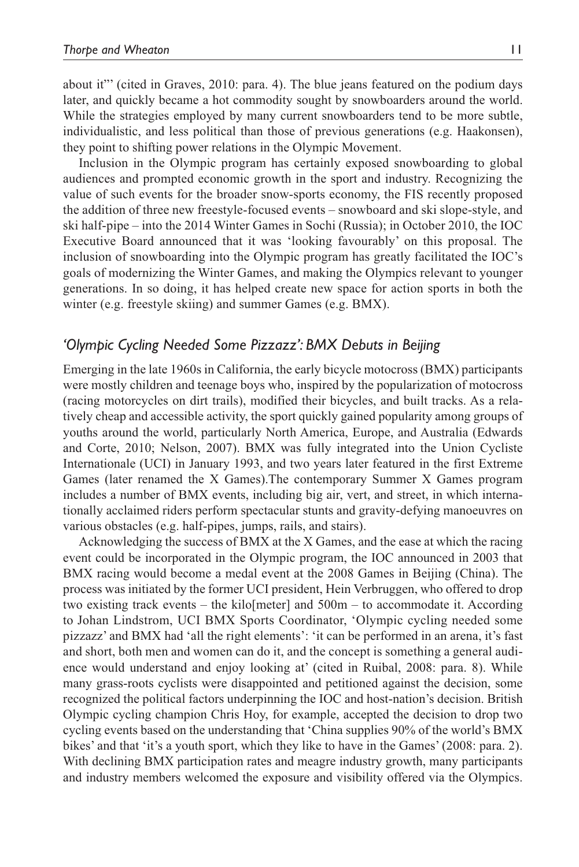about it"' (cited in Graves, 2010: para. 4). The blue jeans featured on the podium days later, and quickly became a hot commodity sought by snowboarders around the world. While the strategies employed by many current snowboarders tend to be more subtle, individualistic, and less political than those of previous generations (e.g. Haakonsen), they point to shifting power relations in the Olympic Movement.

Inclusion in the Olympic program has certainly exposed snowboarding to global audiences and prompted economic growth in the sport and industry. Recognizing the value of such events for the broader snow-sports economy, the FIS recently proposed the addition of three new freestyle-focused events – snowboard and ski slope-style, and ski half-pipe – into the 2014 Winter Games in Sochi (Russia); in October 2010, the IOC Executive Board announced that it was 'looking favourably' on this proposal. The inclusion of snowboarding into the Olympic program has greatly facilitated the IOC's goals of modernizing the Winter Games, and making the Olympics relevant to younger generations. In so doing, it has helped create new space for action sports in both the winter (e.g. freestyle skiing) and summer Games (e.g. BMX).

# *'Olympic Cycling Needed Some Pizzazz': BMX Debuts in Beijing*

Emerging in the late 1960s in California, the early bicycle motocross (BMX) participants were mostly children and teenage boys who, inspired by the popularization of motocross (racing motorcycles on dirt trails), modified their bicycles, and built tracks. As a relatively cheap and accessible activity, the sport quickly gained popularity among groups of youths around the world, particularly North America, Europe, and Australia (Edwards and Corte, 2010; Nelson, 2007). BMX was fully integrated into the Union Cycliste Internationale (UCI) in January 1993, and two years later featured in the first Extreme Games (later renamed the X Games).The contemporary Summer X Games program includes a number of BMX events, including big air, vert, and street, in which internationally acclaimed riders perform spectacular stunts and gravity-defying manoeuvres on various obstacles (e.g. half-pipes, jumps, rails, and stairs).

Acknowledging the success of BMX at the X Games, and the ease at which the racing event could be incorporated in the Olympic program, the IOC announced in 2003 that BMX racing would become a medal event at the 2008 Games in Beijing (China). The process was initiated by the former UCI president, Hein Verbruggen, who offered to drop two existing track events – the kilo[meter] and 500m – to accommodate it. According to Johan Lindstrom, UCI BMX Sports Coordinator, 'Olympic cycling needed some pizzazz' and BMX had 'all the right elements': 'it can be performed in an arena, it's fast and short, both men and women can do it, and the concept is something a general audience would understand and enjoy looking at' (cited in Ruibal, 2008: para. 8). While many grass-roots cyclists were disappointed and petitioned against the decision, some recognized the political factors underpinning the IOC and host-nation's decision. British Olympic cycling champion Chris Hoy, for example, accepted the decision to drop two cycling events based on the understanding that 'China supplies 90% of the world's BMX bikes' and that 'it's a youth sport, which they like to have in the Games' (2008: para. 2). With declining BMX participation rates and meagre industry growth, many participants and industry members welcomed the exposure and visibility offered via the Olympics.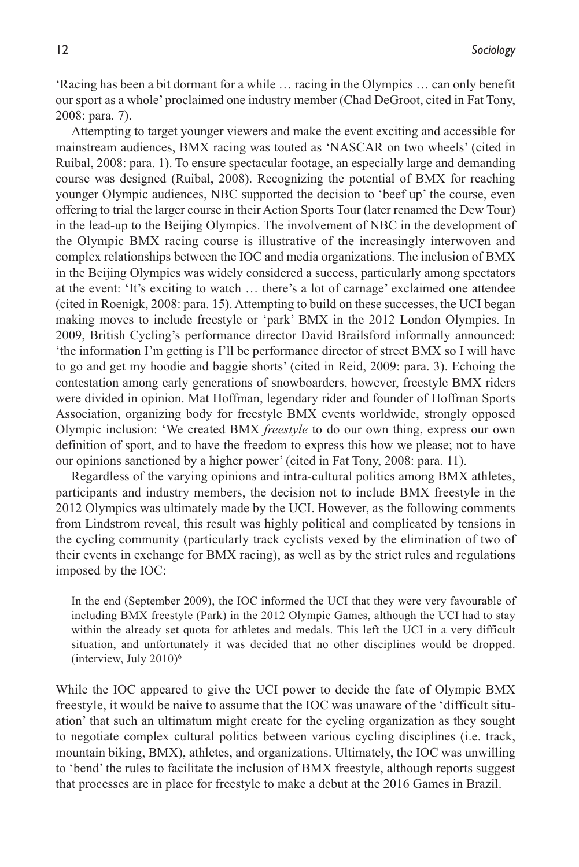'Racing has been a bit dormant for a while … racing in the Olympics … can only benefit our sport as a whole' proclaimed one industry member (Chad DeGroot, cited in Fat Tony, 2008: para. 7).

Attempting to target younger viewers and make the event exciting and accessible for mainstream audiences, BMX racing was touted as 'NASCAR on two wheels' (cited in Ruibal, 2008: para. 1). To ensure spectacular footage, an especially large and demanding course was designed (Ruibal, 2008). Recognizing the potential of BMX for reaching younger Olympic audiences, NBC supported the decision to 'beef up' the course, even offering to trial the larger course in their Action Sports Tour (later renamed the Dew Tour) in the lead-up to the Beijing Olympics. The involvement of NBC in the development of the Olympic BMX racing course is illustrative of the increasingly interwoven and complex relationships between the IOC and media organizations. The inclusion of BMX in the Beijing Olympics was widely considered a success, particularly among spectators at the event: 'It's exciting to watch … there's a lot of carnage' exclaimed one attendee (cited in Roenigk, 2008: para. 15). Attempting to build on these successes, the UCI began making moves to include freestyle or 'park' BMX in the 2012 London Olympics. In 2009, British Cycling's performance director David Brailsford informally announced: 'the information I'm getting is I'll be performance director of street BMX so I will have to go and get my hoodie and baggie shorts' (cited in Reid, 2009: para. 3). Echoing the contestation among early generations of snowboarders, however, freestyle BMX riders were divided in opinion. Mat Hoffman, legendary rider and founder of Hoffman Sports Association, organizing body for freestyle BMX events worldwide, strongly opposed Olympic inclusion: 'We created BMX *freestyle* to do our own thing, express our own definition of sport, and to have the freedom to express this how we please; not to have our opinions sanctioned by a higher power' (cited in Fat Tony, 2008: para. 11).

Regardless of the varying opinions and intra-cultural politics among BMX athletes, participants and industry members, the decision not to include BMX freestyle in the 2012 Olympics was ultimately made by the UCI. However, as the following comments from Lindstrom reveal, this result was highly political and complicated by tensions in the cycling community (particularly track cyclists vexed by the elimination of two of their events in exchange for BMX racing), as well as by the strict rules and regulations imposed by the IOC:

In the end (September 2009), the IOC informed the UCI that they were very favourable of including BMX freestyle (Park) in the 2012 Olympic Games, although the UCI had to stay within the already set quota for athletes and medals. This left the UCI in a very difficult situation, and unfortunately it was decided that no other disciplines would be dropped. (interview, July 2010)6

While the IOC appeared to give the UCI power to decide the fate of Olympic BMX freestyle, it would be naive to assume that the IOC was unaware of the 'difficult situation' that such an ultimatum might create for the cycling organization as they sought to negotiate complex cultural politics between various cycling disciplines (i.e. track, mountain biking, BMX), athletes, and organizations. Ultimately, the IOC was unwilling to 'bend' the rules to facilitate the inclusion of BMX freestyle, although reports suggest that processes are in place for freestyle to make a debut at the 2016 Games in Brazil.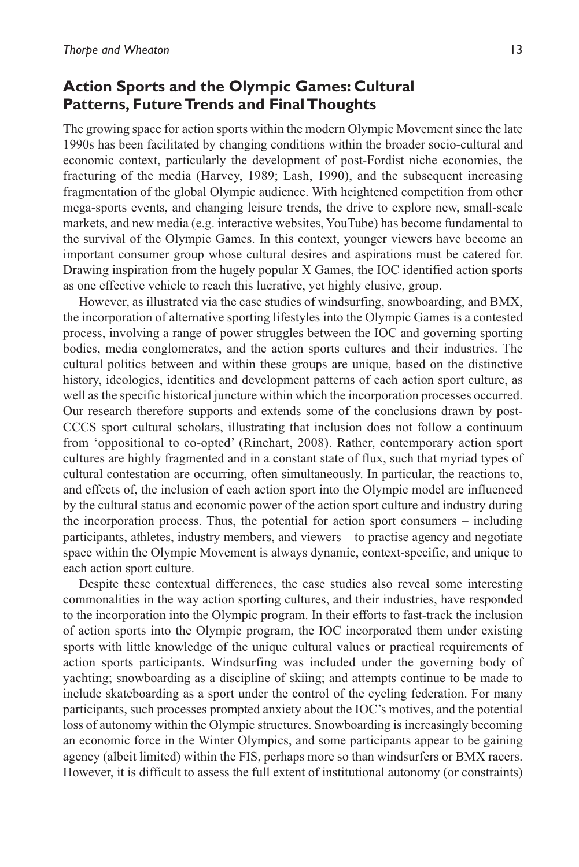# **Action Sports and the Olympic Games: Cultural Patterns, Future Trends and Final Thoughts**

The growing space for action sports within the modern Olympic Movement since the late 1990s has been facilitated by changing conditions within the broader socio-cultural and economic context, particularly the development of post-Fordist niche economies, the fracturing of the media (Harvey, 1989; Lash, 1990), and the subsequent increasing fragmentation of the global Olympic audience. With heightened competition from other mega-sports events, and changing leisure trends, the drive to explore new, small-scale markets, and new media (e.g. interactive websites, YouTube) has become fundamental to the survival of the Olympic Games. In this context, younger viewers have become an important consumer group whose cultural desires and aspirations must be catered for. Drawing inspiration from the hugely popular X Games, the IOC identified action sports as one effective vehicle to reach this lucrative, yet highly elusive, group.

However, as illustrated via the case studies of windsurfing, snowboarding, and BMX, the incorporation of alternative sporting lifestyles into the Olympic Games is a contested process, involving a range of power struggles between the IOC and governing sporting bodies, media conglomerates, and the action sports cultures and their industries. The cultural politics between and within these groups are unique, based on the distinctive history, ideologies, identities and development patterns of each action sport culture, as well as the specific historical juncture within which the incorporation processes occurred. Our research therefore supports and extends some of the conclusions drawn by post-CCCS sport cultural scholars, illustrating that inclusion does not follow a continuum from 'oppositional to co-opted' (Rinehart, 2008). Rather, contemporary action sport cultures are highly fragmented and in a constant state of flux, such that myriad types of cultural contestation are occurring, often simultaneously. In particular, the reactions to, and effects of, the inclusion of each action sport into the Olympic model are influenced by the cultural status and economic power of the action sport culture and industry during the incorporation process. Thus, the potential for action sport consumers – including participants, athletes, industry members, and viewers – to practise agency and negotiate space within the Olympic Movement is always dynamic, context-specific, and unique to each action sport culture.

Despite these contextual differences, the case studies also reveal some interesting commonalities in the way action sporting cultures, and their industries, have responded to the incorporation into the Olympic program. In their efforts to fast-track the inclusion of action sports into the Olympic program, the IOC incorporated them under existing sports with little knowledge of the unique cultural values or practical requirements of action sports participants. Windsurfing was included under the governing body of yachting; snowboarding as a discipline of skiing; and attempts continue to be made to include skateboarding as a sport under the control of the cycling federation. For many participants, such processes prompted anxiety about the IOC's motives, and the potential loss of autonomy within the Olympic structures. Snowboarding is increasingly becoming an economic force in the Winter Olympics, and some participants appear to be gaining agency (albeit limited) within the FIS, perhaps more so than windsurfers or BMX racers. However, it is difficult to assess the full extent of institutional autonomy (or constraints)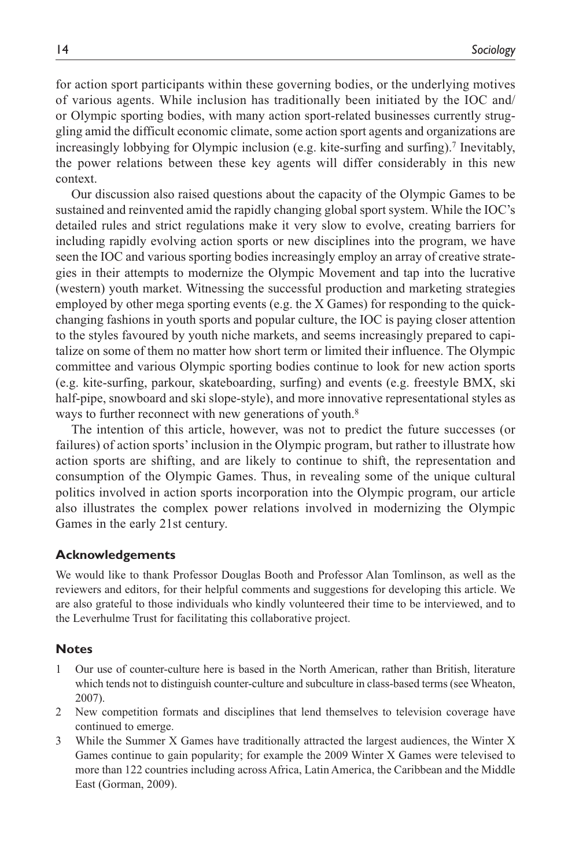for action sport participants within these governing bodies, or the underlying motives of various agents. While inclusion has traditionally been initiated by the IOC and/ or Olympic sporting bodies, with many action sport-related businesses currently struggling amid the difficult economic climate, some action sport agents and organizations are increasingly lobbying for Olympic inclusion (e.g. kite-surfing and surfing).7 Inevitably, the power relations between these key agents will differ considerably in this new context.

Our discussion also raised questions about the capacity of the Olympic Games to be sustained and reinvented amid the rapidly changing global sport system. While the IOC's detailed rules and strict regulations make it very slow to evolve, creating barriers for including rapidly evolving action sports or new disciplines into the program, we have seen the IOC and various sporting bodies increasingly employ an array of creative strategies in their attempts to modernize the Olympic Movement and tap into the lucrative (western) youth market. Witnessing the successful production and marketing strategies employed by other mega sporting events (e.g. the X Games) for responding to the quickchanging fashions in youth sports and popular culture, the IOC is paying closer attention to the styles favoured by youth niche markets, and seems increasingly prepared to capitalize on some of them no matter how short term or limited their influence. The Olympic committee and various Olympic sporting bodies continue to look for new action sports (e.g. kite-surfing, parkour, skateboarding, surfing) and events (e.g. freestyle BMX, ski half-pipe, snowboard and ski slope-style), and more innovative representational styles as ways to further reconnect with new generations of youth.<sup>8</sup>

The intention of this article, however, was not to predict the future successes (or failures) of action sports' inclusion in the Olympic program, but rather to illustrate how action sports are shifting, and are likely to continue to shift, the representation and consumption of the Olympic Games. Thus, in revealing some of the unique cultural politics involved in action sports incorporation into the Olympic program, our article also illustrates the complex power relations involved in modernizing the Olympic Games in the early 21st century.

#### **Acknowledgements**

We would like to thank Professor Douglas Booth and Professor Alan Tomlinson, as well as the reviewers and editors, for their helpful comments and suggestions for developing this article. We are also grateful to those individuals who kindly volunteered their time to be interviewed, and to the Leverhulme Trust for facilitating this collaborative project.

#### **Notes**

- 1 Our use of counter-culture here is based in the North American, rather than British, literature which tends not to distinguish counter-culture and subculture in class-based terms (see Wheaton, 2007).
- 2 New competition formats and disciplines that lend themselves to television coverage have continued to emerge.
- 3 While the Summer X Games have traditionally attracted the largest audiences, the Winter X Games continue to gain popularity; for example the 2009 Winter X Games were televised to more than 122 countries including across Africa, Latin America, the Caribbean and the Middle East (Gorman, 2009).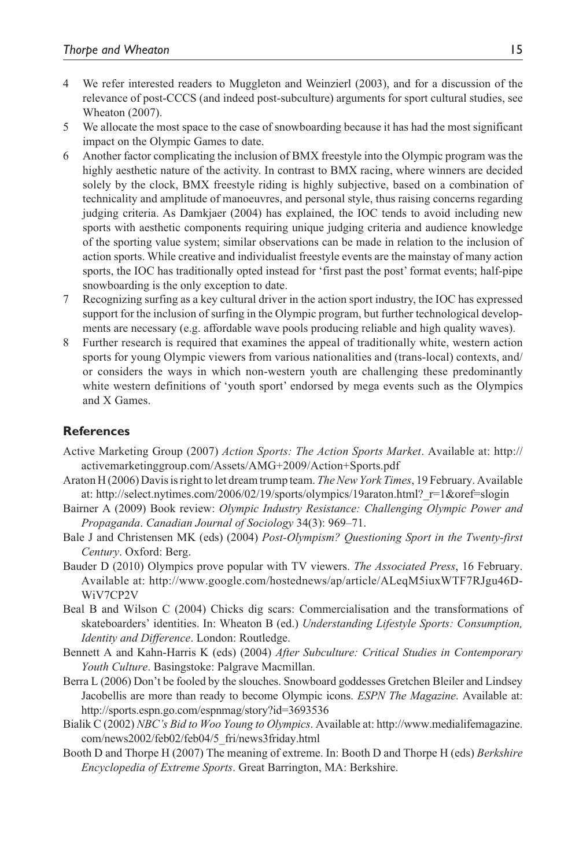- 4 We refer interested readers to Muggleton and Weinzierl (2003), and for a discussion of the relevance of post-CCCS (and indeed post-subculture) arguments for sport cultural studies, see Wheaton (2007).
- 5 We allocate the most space to the case of snowboarding because it has had the most significant impact on the Olympic Games to date.
- 6 Another factor complicating the inclusion of BMX freestyle into the Olympic program was the highly aesthetic nature of the activity. In contrast to BMX racing, where winners are decided solely by the clock, BMX freestyle riding is highly subjective, based on a combination of technicality and amplitude of manoeuvres, and personal style, thus raising concerns regarding judging criteria. As Damkjaer (2004) has explained, the IOC tends to avoid including new sports with aesthetic components requiring unique judging criteria and audience knowledge of the sporting value system; similar observations can be made in relation to the inclusion of action sports. While creative and individualist freestyle events are the mainstay of many action sports, the IOC has traditionally opted instead for 'first past the post' format events; half-pipe snowboarding is the only exception to date.
- 7 Recognizing surfing as a key cultural driver in the action sport industry, the IOC has expressed support for the inclusion of surfing in the Olympic program, but further technological developments are necessary (e.g. affordable wave pools producing reliable and high quality waves).
- 8 Further research is required that examines the appeal of traditionally white, western action sports for young Olympic viewers from various nationalities and (trans-local) contexts, and/ or considers the ways in which non-western youth are challenging these predominantly white western definitions of 'youth sport' endorsed by mega events such as the Olympics and X Games.

## **References**

- Active Marketing Group (2007) *Action Sports: The Action Sports Market*. Available at: http:// activemarketinggroup.com/Assets/AMG+2009/Action+Sports.pdf
- Araton H (2006) Davis is right to let dream trump team. *The New York Times*, 19 February. Available at: http://select.nytimes.com/2006/02/19/sports/olympics/19araton.html? r=1&oref=slogin
- Bairner A (2009) Book review: *Olympic Industry Resistance: Challenging Olympic Power and Propaganda*. *Canadian Journal of Sociology* 34(3): 969–71.
- Bale J and Christensen MK (eds) (2004) *Post-Olympism? Questioning Sport in the Twenty-first Century*. Oxford: Berg.
- Bauder D (2010) Olympics prove popular with TV viewers. *The Associated Press*, 16 February. Available at: http://www.google.com/hostednews/ap/article/ALeqM5iuxWTF7RJgu46D-WiV7CP2V
- Beal B and Wilson C (2004) Chicks dig scars: Commercialisation and the transformations of skateboarders' identities. In: Wheaton B (ed.) *Understanding Lifestyle Sports: Consumption, Identity and Difference*. London: Routledge.
- Bennett A and Kahn-Harris K (eds) (2004) *After Subculture: Critical Studies in Contemporary Youth Culture*. Basingstoke: Palgrave Macmillan.
- Berra L (2006) Don't be fooled by the slouches. Snowboard goddesses Gretchen Bleiler and Lindsey Jacobellis are more than ready to become Olympic icons. *ESPN The Magazine*. Available at: http://sports.espn.go.com/espnmag/story?id=3693536
- Bialik C (2002) *NBC's Bid to Woo Young to Olympics*. Available at: http://www.medialifemagazine. com/news2002/feb02/feb04/5\_fri/news3friday.html
- Booth D and Thorpe H (2007) The meaning of extreme. In: Booth D and Thorpe H (eds) *Berkshire Encyclopedia of Extreme Sports*. Great Barrington, MA: Berkshire.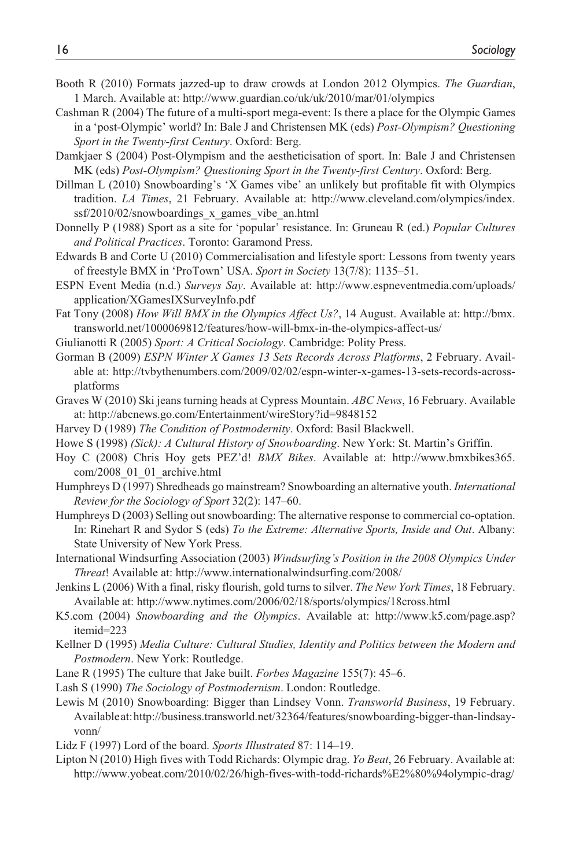- Booth R (2010) Formats jazzed-up to draw crowds at London 2012 Olympics. *The Guardian*, 1 March. Available at: http://www.guardian.co/uk/uk/2010/mar/01/olympics
- Cashman R (2004) The future of a multi-sport mega-event: Is there a place for the Olympic Games in a 'post-Olympic' world? In: Bale J and Christensen MK (eds) *Post-Olympism? Questioning Sport in the Twenty-first Century*. Oxford: Berg.
- Damkjaer S (2004) Post-Olympism and the aestheticisation of sport. In: Bale J and Christensen MK (eds) *Post-Olympism? Questioning Sport in the Twenty-first Century*. Oxford: Berg.
- Dillman L (2010) Snowboarding's 'X Games vibe' an unlikely but profitable fit with Olympics tradition. *LA Times*, 21 February. Available at: http://www.cleveland.com/olympics/index. ssf/2010/02/snowboardings\_x\_games\_vibe\_an.html
- Donnelly P (1988) Sport as a site for 'popular' resistance. In: Gruneau R (ed.) *Popular Cultures and Political Practices*. Toronto: Garamond Press.
- Edwards B and Corte U (2010) Commercialisation and lifestyle sport: Lessons from twenty years of freestyle BMX in 'ProTown' USA. *Sport in Society* 13(7/8): 1135–51.
- ESPN Event Media (n.d.) *Surveys Say*. Available at: http://www.espneventmedia.com/uploads/ application/XGamesIXSurveyInfo.pdf
- Fat Tony (2008) *How Will BMX in the Olympics Affect Us?*, 14 August. Available at: http://bmx. transworld.net/1000069812/features/how-will-bmx-in-the-olympics-affect-us/
- Giulianotti R (2005) *Sport: A Critical Sociology*. Cambridge: Polity Press.
- Gorman B (2009) *ESPN Winter X Games 13 Sets Records Across Platforms*, 2 February. Available at: http://tvbythenumbers.com/2009/02/02/espn-winter-x-games-13-sets-records-acrossplatforms
- Graves W (2010) Ski jeans turning heads at Cypress Mountain. *ABC News*, 16 February. Available at: http://abcnews.go.com/Entertainment/wireStory?id=9848152
- Harvey D (1989) *The Condition of Postmodernity*. Oxford: Basil Blackwell.
- Howe S (1998) *(Sick): A Cultural History of Snowboarding*. New York: St. Martin's Griffin.
- Hoy C (2008) Chris Hoy gets PEZ'd! *BMX Bikes*. Available at: http://www.bmxbikes365. com/2008\_01\_01\_archive.html
- Humphreys D (1997) Shredheads go mainstream? Snowboarding an alternative youth. *International Review for the Sociology of Sport* 32(2): 147–60.
- Humphreys D (2003) Selling out snowboarding: The alternative response to commercial co-optation. In: Rinehart R and Sydor S (eds) *To the Extreme: Alternative Sports, Inside and Out*. Albany: State University of New York Press.
- International Windsurfing Association (2003) *Windsurfing's Position in the 2008 Olympics Under Threat*! Available at: http://www.internationalwindsurfing.com/2008/
- Jenkins L (2006) With a final, risky flourish, gold turns to silver. *The New York Times*, 18 February. Available at: http://www.nytimes.com/2006/02/18/sports/olympics/18cross.html
- K5.com (2004) *Snowboarding and the Olympics*. Available at: http://www.k5.com/page.asp? itemid=223
- Kellner D (1995) *Media Culture: Cultural Studies, Identity and Politics between the Modern and Postmodern*. New York: Routledge.
- Lane R (1995) The culture that Jake built. *Forbes Magazine* 155(7): 45–6.
- Lash S (1990) *The Sociology of Postmodernism*. London: Routledge.
- Lewis M (2010) Snowboarding: Bigger than Lindsey Vonn. *Transworld Business*, 19 February. Available at: http://business.transworld.net/32364/features/snowboarding-bigger-than-lindsayvonn/
- Lidz F (1997) Lord of the board. *Sports Illustrated* 87: 114–19.
- Lipton N (2010) High fives with Todd Richards: Olympic drag. *Yo Beat*, 26 February. Available at: http://www.yobeat.com/2010/02/26/high-fives-with-todd-richards%E2%80%94olympic-drag/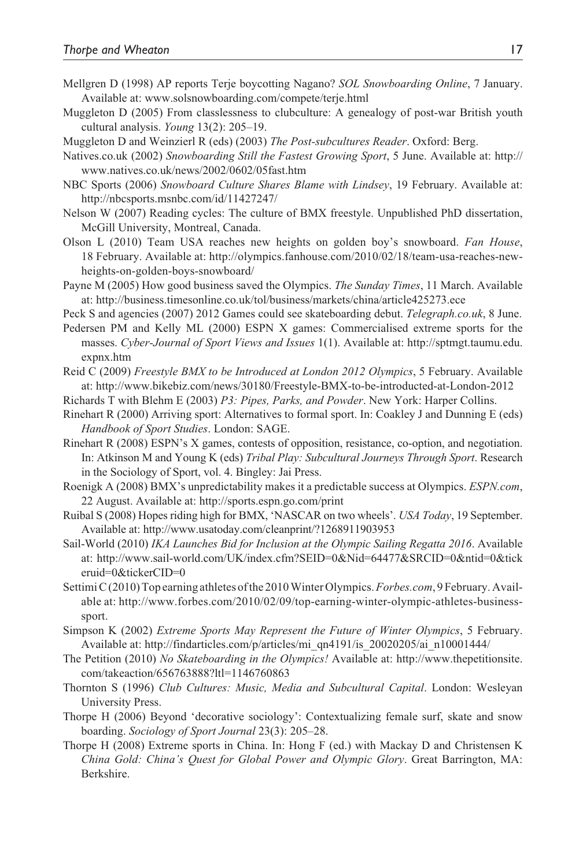- Mellgren D (1998) AP reports Terje boycotting Nagano? *SOL Snowboarding Online*, 7 January. Available at: www.solsnowboarding.com/compete/terje.html
- Muggleton D (2005) From classlessness to clubculture: A genealogy of post-war British youth cultural analysis. *Young* 13(2): 205–19.
- Muggleton D and Weinzierl R (eds) (2003) *The Post-subcultures Reader*. Oxford: Berg.
- Natives.co.uk (2002) *Snowboarding Still the Fastest Growing Sport*, 5 June. Available at: http:// www.natives.co.uk/news/2002/0602/05fast.htm
- NBC Sports (2006) *Snowboard Culture Shares Blame with Lindsey*, 19 February. Available at: http://nbcsports.msnbc.com/id/11427247/
- Nelson W (2007) Reading cycles: The culture of BMX freestyle. Unpublished PhD dissertation, McGill University, Montreal, Canada.
- Olson L (2010) Team USA reaches new heights on golden boy's snowboard. *Fan House*, 18 February. Available at: http://olympics.fanhouse.com/2010/02/18/team-usa-reaches-newheights-on-golden-boys-snowboard/
- Payne M (2005) How good business saved the Olympics. *The Sunday Times*, 11 March. Available at: http://business.timesonline.co.uk/tol/business/markets/china/article425273.ece
- Peck S and agencies (2007) 2012 Games could see skateboarding debut. *Telegraph.co.uk*, 8 June.
- Pedersen PM and Kelly ML (2000) ESPN X games: Commercialised extreme sports for the masses. *Cyber-Journal of Sport Views and Issues* 1(1). Available at: http://sptmgt.taumu.edu. expnx.htm
- Reid C (2009) *Freestyle BMX to be Introduced at London 2012 Olympics*, 5 February. Available at: http://www.bikebiz.com/news/30180/Freestyle-BMX-to-be-introducted-at-London-2012
- Richards T with Blehm E (2003) *P3: Pipes, Parks, and Powder*. New York: Harper Collins.
- Rinehart R (2000) Arriving sport: Alternatives to formal sport. In: Coakley J and Dunning E (eds) *Handbook of Sport Studies*. London: SAGE.
- Rinehart R (2008) ESPN's X games, contests of opposition, resistance, co-option, and negotiation. In: Atkinson M and Young K (eds) *Tribal Play: Subcultural Journeys Through Sport*. Research in the Sociology of Sport, vol. 4. Bingley: Jai Press.
- Roenigk A (2008) BMX's unpredictability makes it a predictable success at Olympics. *ESPN.com*, 22 August. Available at: http://sports.espn.go.com/print
- Ruibal S (2008) Hopes riding high for BMX, 'NASCAR on two wheels'. *USA Today*, 19 September. Available at: http://www.usatoday.com/cleanprint/?1268911903953
- Sail-World (2010) *IKA Launches Bid for Inclusion at the Olympic Sailing Regatta 2016*. Available at: http://www.sail-world.com/UK/index.cfm?SEID=0&Nid=64477&SRCID=0&ntid=0&tick eruid=0&tickerCID=0
- Settimi C (2010) Top earning athletes of the 2010 Winter Olympics. *Forbes.com*, 9 February. Available at: http://www.forbes.com/2010/02/09/top-earning-winter-olympic-athletes-businesssport.
- Simpson K (2002) *Extreme Sports May Represent the Future of Winter Olympics*, 5 February. Available at: http://findarticles.com/p/articles/mi\_qn4191/is\_20020205/ai\_n10001444/
- The Petition (2010) *No Skateboarding in the Olympics!* Available at: http://www.thepetitionsite. com/takeaction/656763888?ltl=1146760863
- Thornton S (1996) *Club Cultures: Music, Media and Subcultural Capital*. London: Wesleyan University Press.
- Thorpe H (2006) Beyond 'decorative sociology': Contextualizing female surf, skate and snow boarding. *Sociology of Sport Journal* 23(3): 205–28.
- Thorpe H (2008) Extreme sports in China. In: Hong F (ed.) with Mackay D and Christensen K *China Gold: China's Quest for Global Power and Olympic Glory*. Great Barrington, MA: Berkshire.